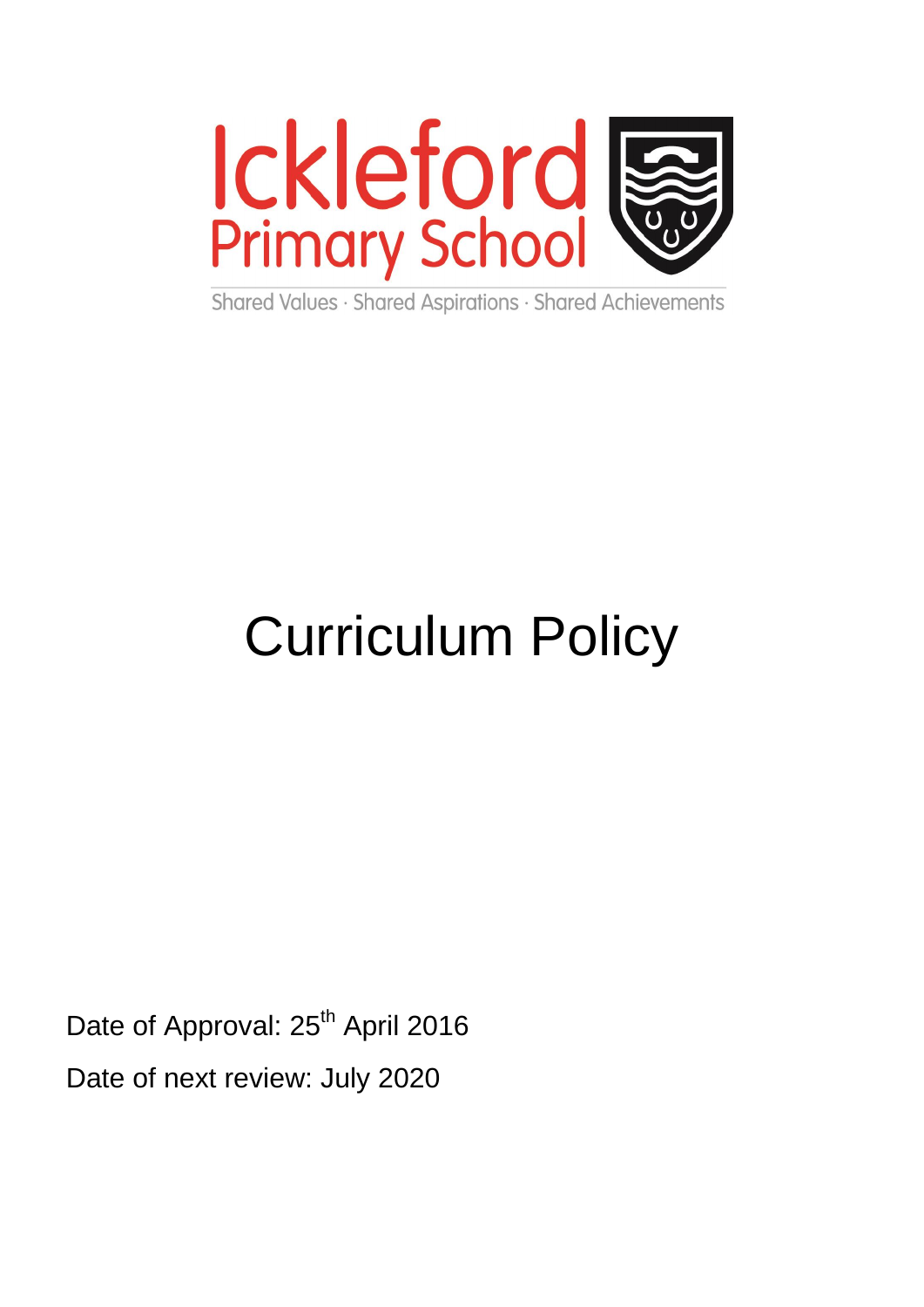

Shared Values · Shared Aspirations · Shared Achievements

# Curriculum Policy

Date of Approval: 25<sup>th</sup> April 2016

Date of next review: July 2020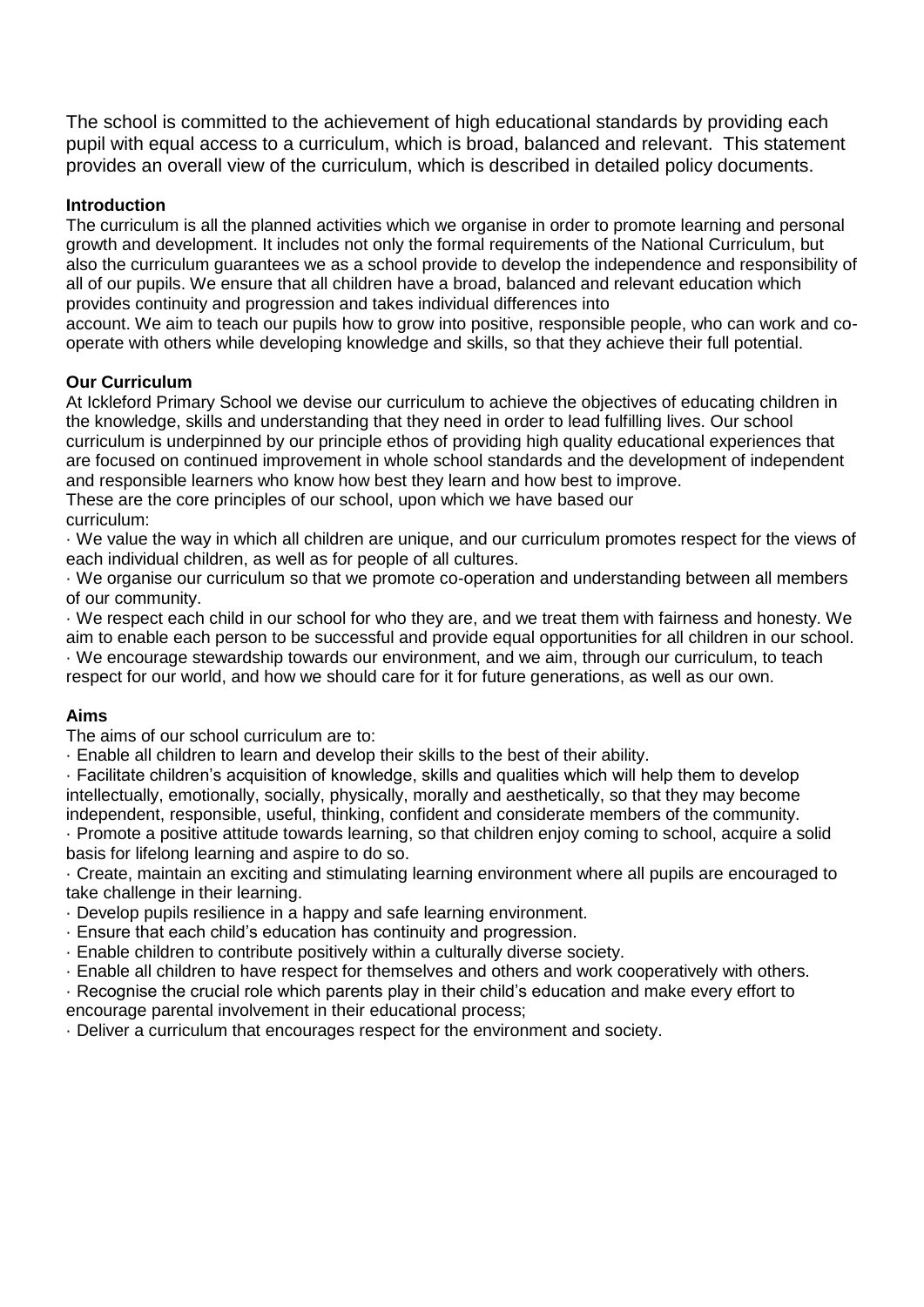The school is committed to the achievement of high educational standards by providing each pupil with equal access to a curriculum, which is broad, balanced and relevant. This statement provides an overall view of the curriculum, which is described in detailed policy documents.

# **Introduction**

The curriculum is all the planned activities which we organise in order to promote learning and personal growth and development. It includes not only the formal requirements of the National Curriculum, but also the curriculum guarantees we as a school provide to develop the independence and responsibility of all of our pupils. We ensure that all children have a broad, balanced and relevant education which provides continuity and progression and takes individual differences into

account. We aim to teach our pupils how to grow into positive, responsible people, who can work and cooperate with others while developing knowledge and skills, so that they achieve their full potential.

## **Our Curriculum**

At Ickleford Primary School we devise our curriculum to achieve the objectives of educating children in the knowledge, skills and understanding that they need in order to lead fulfilling lives. Our school curriculum is underpinned by our principle ethos of providing high quality educational experiences that are focused on continued improvement in whole school standards and the development of independent and responsible learners who know how best they learn and how best to improve.

These are the core principles of our school, upon which we have based our curriculum:

· We value the way in which all children are unique, and our curriculum promotes respect for the views of each individual children, as well as for people of all cultures.

· We organise our curriculum so that we promote co-operation and understanding between all members of our community.

· We respect each child in our school for who they are, and we treat them with fairness and honesty. We aim to enable each person to be successful and provide equal opportunities for all children in our school. · We encourage stewardship towards our environment, and we aim, through our curriculum, to teach respect for our world, and how we should care for it for future generations, as well as our own.

## **Aims**

The aims of our school curriculum are to:

· Enable all children to learn and develop their skills to the best of their ability.

· Facilitate children's acquisition of knowledge, skills and qualities which will help them to develop intellectually, emotionally, socially, physically, morally and aesthetically, so that they may become independent, responsible, useful, thinking, confident and considerate members of the community.

· Promote a positive attitude towards learning, so that children enjoy coming to school, acquire a solid basis for lifelong learning and aspire to do so.

· Create, maintain an exciting and stimulating learning environment where all pupils are encouraged to take challenge in their learning.

· Develop pupils resilience in a happy and safe learning environment.

- · Ensure that each child's education has continuity and progression.
- · Enable children to contribute positively within a culturally diverse society.
- · Enable all children to have respect for themselves and others and work cooperatively with others.

· Recognise the crucial role which parents play in their child's education and make every effort to encourage parental involvement in their educational process;

· Deliver a curriculum that encourages respect for the environment and society.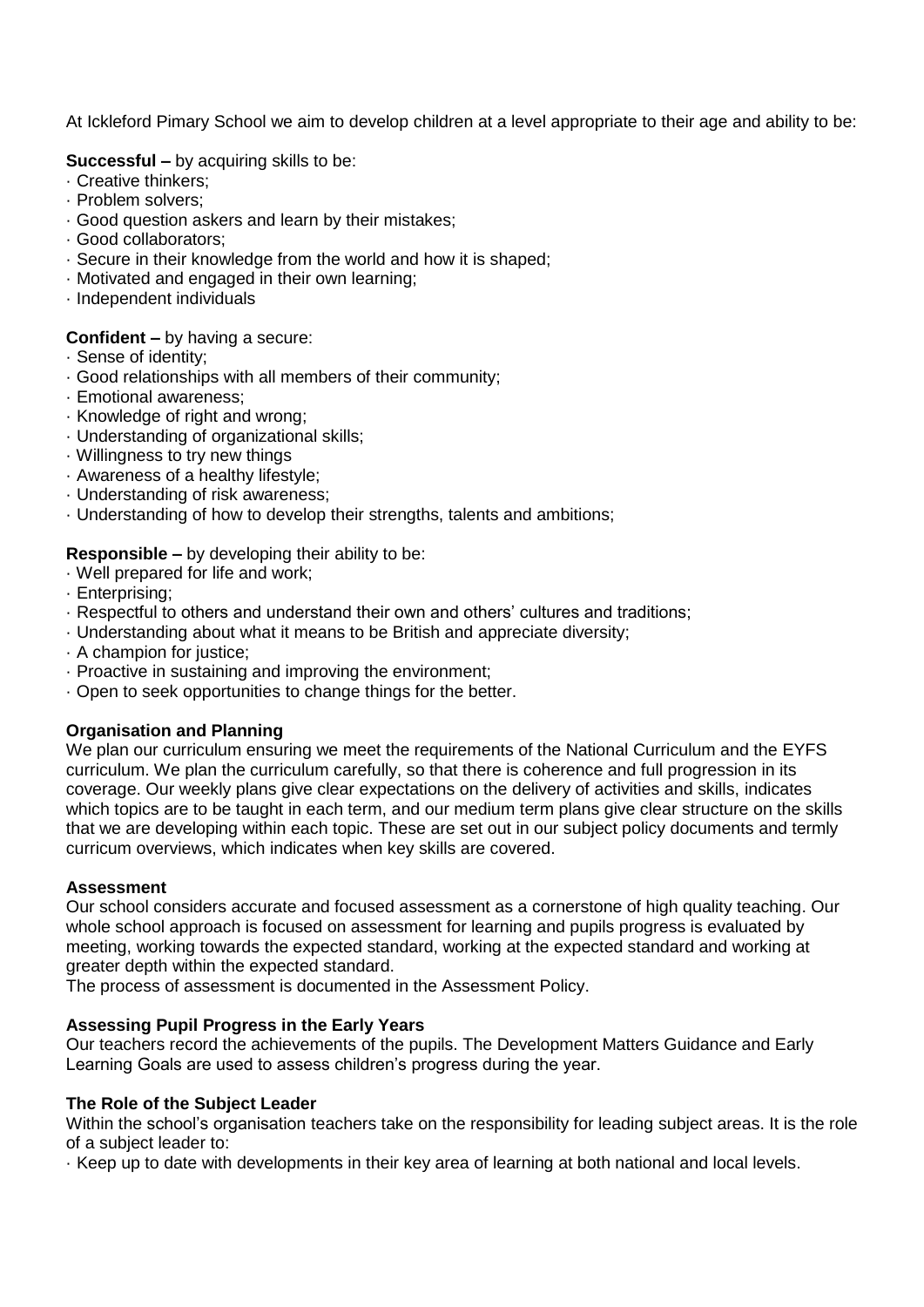At Ickleford Pimary School we aim to develop children at a level appropriate to their age and ability to be:

#### **Successful –** by acquiring skills to be:

- · Creative thinkers;
- · Problem solvers;
- · Good question askers and learn by their mistakes;
- · Good collaborators;
- · Secure in their knowledge from the world and how it is shaped;
- · Motivated and engaged in their own learning;
- · Independent individuals

## **Confident –** by having a secure:

- · Sense of identity;
- · Good relationships with all members of their community;
- · Emotional awareness;
- · Knowledge of right and wrong;
- · Understanding of organizational skills;
- · Willingness to try new things
- · Awareness of a healthy lifestyle;
- · Understanding of risk awareness;
- · Understanding of how to develop their strengths, talents and ambitions;

#### **Responsible –** by developing their ability to be:

- · Well prepared for life and work;
- · Enterprising;
- · Respectful to others and understand their own and others' cultures and traditions;
- · Understanding about what it means to be British and appreciate diversity;
- · A champion for justice;
- · Proactive in sustaining and improving the environment;
- · Open to seek opportunities to change things for the better.

## **Organisation and Planning**

We plan our curriculum ensuring we meet the requirements of the National Curriculum and the EYFS curriculum. We plan the curriculum carefully, so that there is coherence and full progression in its coverage. Our weekly plans give clear expectations on the delivery of activities and skills, indicates which topics are to be taught in each term, and our medium term plans give clear structure on the skills that we are developing within each topic. These are set out in our subject policy documents and termly curricum overviews, which indicates when key skills are covered.

#### **Assessment**

Our school considers accurate and focused assessment as a cornerstone of high quality teaching. Our whole school approach is focused on assessment for learning and pupils progress is evaluated by meeting, working towards the expected standard, working at the expected standard and working at greater depth within the expected standard.

The process of assessment is documented in the Assessment Policy.

## **Assessing Pupil Progress in the Early Years**

Our teachers record the achievements of the pupils. The Development Matters Guidance and Early Learning Goals are used to assess children's progress during the year.

## **The Role of the Subject Leader**

Within the school's organisation teachers take on the responsibility for leading subject areas. It is the role of a subject leader to:

· Keep up to date with developments in their key area of learning at both national and local levels.